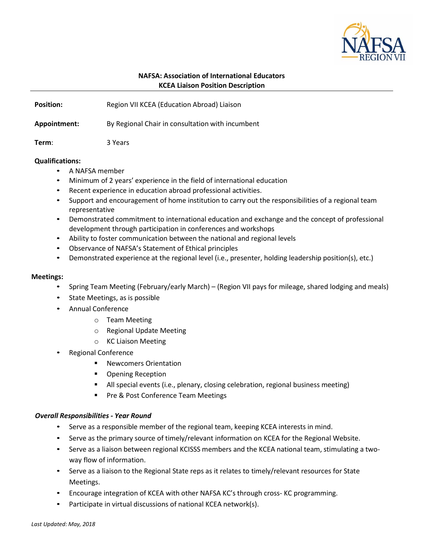

## **NAFSA: Association of International Educators KCEA Liaison Position Description**

**Position:** Region VII KCEA (Education Abroad) Liaison

**Appointment:** By Regional Chair in consultation with incumbent

**Term**: 3 Years

## **Qualifications:**

- A NAFSA member
- Minimum of 2 years' experience in the field of international education
- Recent experience in education abroad professional activities.
- Support and encouragement of home institution to carry out the responsibilities of a regional team representative
- Demonstrated commitment to international education and exchange and the concept of professional development through participation in conferences and workshops
- Ability to foster communication between the national and regional levels
- Observance of NAFSA's Statement of Ethical principles
- Demonstrated experience at the regional level (i.e., presenter, holding leadership position(s), etc.)

#### **Meetings:**

- Spring Team Meeting (February/early March) (Region VII pays for mileage, shared lodging and meals)
- State Meetings, as is possible
- Annual Conference
	- o Team Meeting
	- o Regional Update Meeting
	- o KC Liaison Meeting
- Regional Conference
	- **Newcomers Orientation**
	- **Opening Reception**
	- All special events (i.e., plenary, closing celebration, regional business meeting)
	- Pre & Post Conference Team Meetings

#### *Overall Responsibilities - Year Round*

- Serve as a responsible member of the regional team, keeping KCEA interests in mind.
- Serve as the primary source of timely/relevant information on KCEA for the Regional Website.
- Serve as a liaison between regional KCISSS members and the KCEA national team, stimulating a twoway flow of information.
- Serve as a liaison to the Regional State reps as it relates to timely/relevant resources for State Meetings.
- Encourage integration of KCEA with other NAFSA KC's through cross- KC programming.
- Participate in virtual discussions of national KCEA network(s).